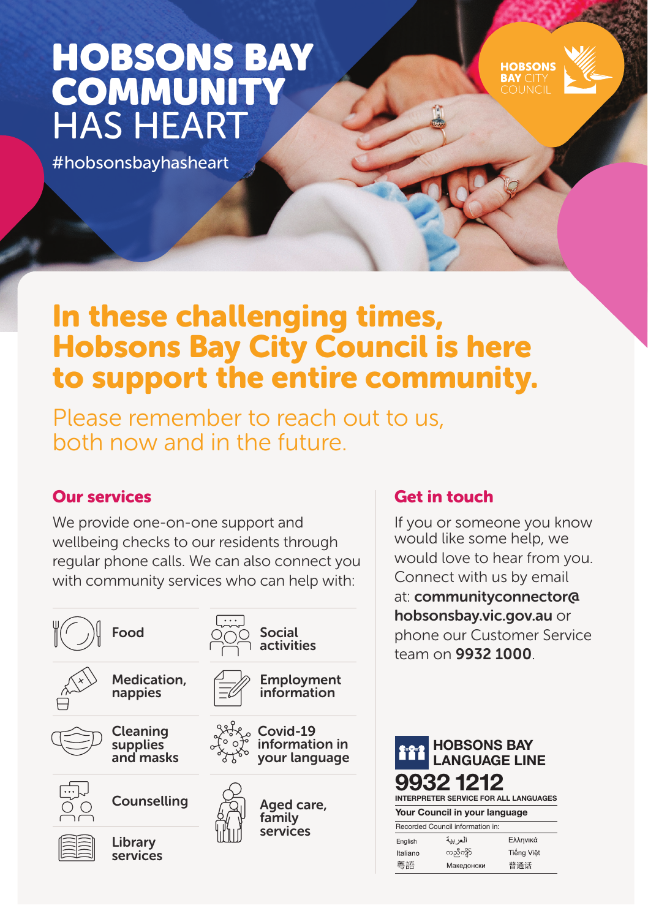# HOBSONS BAY **COMMUNITY** HAS HEART

#hobsonsbayhasheart

## In these challenging times, Hobsons Bay City Council is here to support the entire community.

Please remember to reach out to us, both now and in the future.

### Our services

We provide one-on-one support and wellbeing checks to our residents through regular phone calls. We can also connect you with community services who can help with:



## Get in touch

If you or someone you know would like some help, we would love to hear from you. Connect with us by email at: communityconnector@ hobsonsbay.vic.gov.au or phone our Customer Service team on 9932 1000.

**HORSONS**